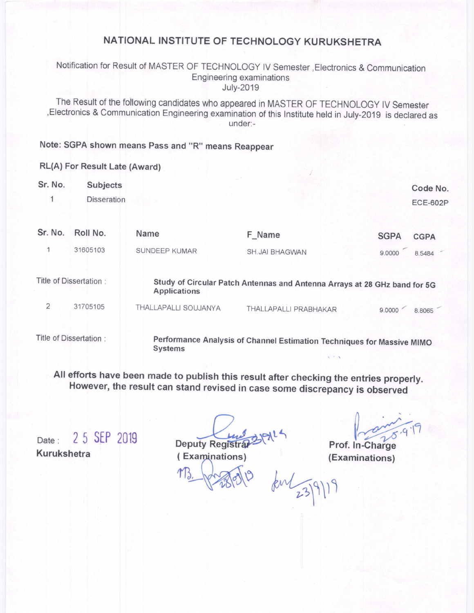## NATIONAL INSTITUTE OF TECHNOLOGY KURUKSHETRA

#### Notification for Result of MASTER OF TECHNOLOGY lV Semester,Electronics & Communication Engineering examinations July-2019

The Result of the following candidates who appeared in MASTER oF TECHNoLoGy lv semester ,Electronics & Communication Engineering examination of this lnstitute held in July-201g is declared as under:-

# Note: SGPA shown means Pass and "R" means Reappear

## RL(A) For Result Late (Award)

| Sr. No.                | Subjects<br><b>Disseration</b> |                                                                                                  |                                                                        |             | Code No.<br><b>ECE-602P</b> |
|------------------------|--------------------------------|--------------------------------------------------------------------------------------------------|------------------------------------------------------------------------|-------------|-----------------------------|
| Sr. No.                | Roll No.                       | Name                                                                                             | F_Name                                                                 | <b>SGPA</b> | <b>CGPA</b>                 |
|                        | 31605103                       | <b>SUNDEEP KUMAR</b>                                                                             | <b>SH.JAI BHAGWAN</b>                                                  | 9.0000      | 8.5484                      |
| Title of Dissertation: |                                | Study of Circular Patch Antennas and Antenna Arrays at 28 GHz band for 5G<br><b>Applications</b> |                                                                        |             |                             |
| $\overline{2}$         | 31705105                       | THALLAPALLI SOUJANYA                                                                             | THALLAPALLI PRABHAKAR                                                  | 9.0000      | 8.8065                      |
|                        | Title of Dissertation:         | <b>Systems</b>                                                                                   | Performance Analysis of Channel Estimation Techniques for Massive MIMO |             |                             |

All efforts have been made to publish this result after checking the entries properly. However, the result can stand revised in case some discrepancy is observed

Date: 25 SEP 2019 Kurukshetra

Deputy Registrar

(Examinations)

Prof. In-Charge (Examinations)

 $km\frac{23}{9})11$